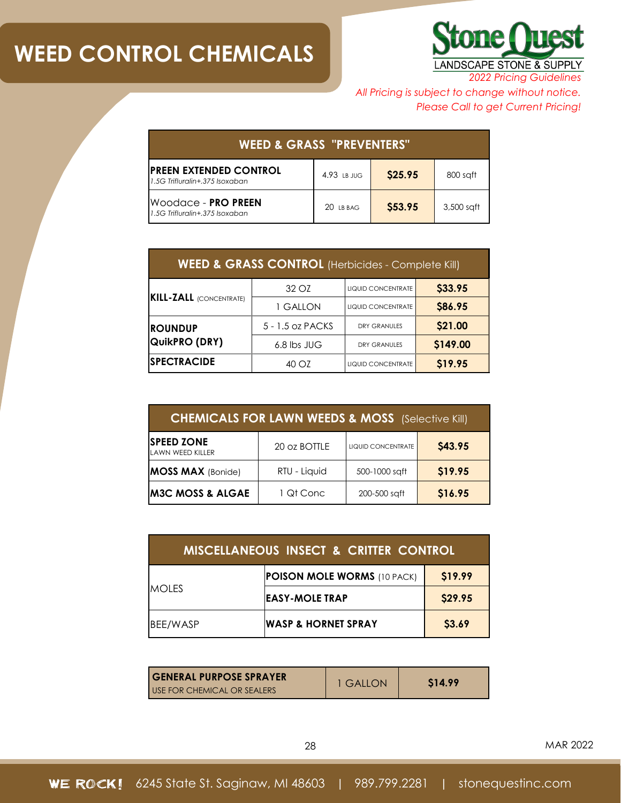

*2022 Pricing Guidelines*

*All Pricing is subject to change without notice. Please Call to get Current Pricing!*

| <b>WEED &amp; GRASS "PREVENTERS"</b>                          |             |         |            |
|---------------------------------------------------------------|-------------|---------|------------|
| IPREEN EXTENDED CONTROL<br>1.5G Trifluralin+.375 Isoxaban     | 4.93 LB JUG | \$25.95 | 800 saft   |
| IWoodace - <b>PRO PREEN</b><br>1.5G Trifluralin+.375 Isoxaban | $20$ IB BAG | \$53.95 | 3,500 saft |

| <b>WEED &amp; GRASS CONTROL</b> (Herbicides - Complete Kill) |                  |                               |          |
|--------------------------------------------------------------|------------------|-------------------------------|----------|
| <b>KILL-ZALL</b> (CONCENTRATE)                               | 32 OZ            | LIQUID CONCENTRATE            | \$33.95  |
|                                                              | 1 GALLON         | \$86.95<br>LIQUID CONCENTRATE |          |
| <b>ROUNDUP</b>                                               | 5 - 1.5 oz PACKS | <b>DRY GRANULES</b>           | \$21.00  |
| QuikPRO (DRY)                                                | 6.8 lbs JUG      | <b>DRY GRANULES</b>           | \$149.00 |
| <b>SPECTRACIDE</b>                                           | 40 OZ            | <b>LIQUID CONCENTRATE</b>     | \$19.95  |

| <b>CHEMICALS FOR LAWN WEEDS &amp; MOSS</b> (Selective Kill) |              |                    |         |
|-------------------------------------------------------------|--------------|--------------------|---------|
| <b>SPEED ZONE</b><br><b>LAWN WEED KILLER</b>                | 20 oz BOTTLE | LIQUID CONCENTRATE | \$43.95 |
| <b>MOSS MAX</b> (Bonide)                                    | RTU - Liquid | 500-1000 sqft      | \$19.95 |
| <b>M3C MOSS &amp; ALGAE</b>                                 | 1 Qt Conc    | 200-500 saft       | \$16.95 |

| <b>MISCELLANEOUS INSECT &amp; CRITTER CONTROL</b> |                                    |         |  |
|---------------------------------------------------|------------------------------------|---------|--|
| <b>MOLES</b>                                      | <b>POISON MOLE WORMS (10 PACK)</b> | \$19.99 |  |
|                                                   | <b>EASY-MOLE TRAP</b>              | \$29.95 |  |
| BEE/WASP                                          | <b>WASP &amp; HORNET SPRAY</b>     | \$3.69  |  |

| <b>GENERAL PURPOSE SPRAYER</b> | <b>1 GALLON</b> | S <sub>14.99</sub> |
|--------------------------------|-----------------|--------------------|
| USE FOR CHEMICAL OR SEALERS    |                 |                    |

28 MAR 2022